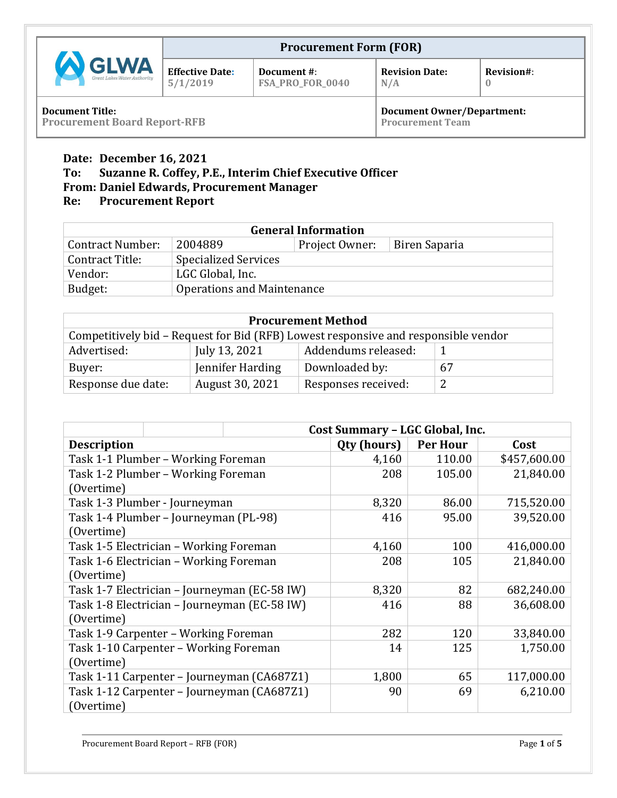|                                               |                                    | <b>Procurement Form (FOR)</b>   |                                   |            |
|-----------------------------------------------|------------------------------------|---------------------------------|-----------------------------------|------------|
| <b>AN GLWA</b><br>Great Lakes Water Authority | <b>Effective Date:</b><br>5/1/2019 | Document #:<br>FSA_PRO_FOR_0040 | <b>Revision Date:</b><br>N/A      | Revision#: |
| <b>Document Title:</b>                        |                                    |                                 | <b>Document Owner/Department:</b> |            |

**Procurement Board Report-RFB**

**Procurement Team**

## **Date: December 16, 2021**

## **To: Suzanne R. Coffey, P.E., Interim Chief Executive Officer**

# **From: Daniel Edwards, Procurement Manager**

# **Re: Procurement Report**

| <b>General Information</b>            |                                            |  |  |  |
|---------------------------------------|--------------------------------------------|--|--|--|
| <b>Contract Number:</b>               | 2004889<br>Project Owner:<br>Biren Saparia |  |  |  |
| Contract Title:                       | <b>Specialized Services</b>                |  |  |  |
| Vendor:                               | LGC Global, Inc.                           |  |  |  |
| Operations and Maintenance<br>Budget: |                                            |  |  |  |

| <b>Procurement Method</b>                                                          |                  |                     |    |  |  |  |
|------------------------------------------------------------------------------------|------------------|---------------------|----|--|--|--|
| Competitively bid – Request for Bid (RFB) Lowest responsive and responsible vendor |                  |                     |    |  |  |  |
| Addendums released:<br>Advertised:<br>July 13, 2021                                |                  |                     |    |  |  |  |
| Buyer:                                                                             | Jennifer Harding | Downloaded by:      | 67 |  |  |  |
| Response due date:                                                                 | August 30, 2021  | Responses received: | 2  |  |  |  |

|                                            |                                       | <b>Cost Summary - LGC Global, Inc.</b>       |             |                 |              |  |
|--------------------------------------------|---------------------------------------|----------------------------------------------|-------------|-----------------|--------------|--|
| <b>Description</b>                         |                                       |                                              | Qty (hours) | <b>Per Hour</b> | Cost         |  |
|                                            | Task 1-1 Plumber – Working Foreman    |                                              | 4,160       | 110.00          | \$457,600.00 |  |
|                                            | Task 1-2 Plumber – Working Foreman    |                                              | 208         | 105.00          | 21,840.00    |  |
| (Overtime)                                 |                                       |                                              |             |                 |              |  |
|                                            | Task 1-3 Plumber - Journeyman         |                                              | 8,320       | 86.00           | 715,520.00   |  |
|                                            | Task 1-4 Plumber - Journeyman (PL-98) |                                              | 416         | 95.00           | 39,520.00    |  |
| (Overtime)                                 |                                       |                                              |             |                 |              |  |
| Task 1-5 Electrician – Working Foreman     |                                       |                                              | 4,160       | 100             | 416,000.00   |  |
| Task 1-6 Electrician - Working Foreman     |                                       |                                              | 208         | 105             | 21,840.00    |  |
| (Overtime)                                 |                                       |                                              |             |                 |              |  |
|                                            |                                       | Task 1-7 Electrician – Journeyman (EC-58 IW) | 8,320       | 82              | 682,240.00   |  |
|                                            |                                       | Task 1-8 Electrician – Journeyman (EC-58 IW) | 416         | 88              | 36,608.00    |  |
| (Overtime)                                 |                                       |                                              |             |                 |              |  |
|                                            | Task 1-9 Carpenter - Working Foreman  |                                              | 282         | 120             | 33,840.00    |  |
| Task 1-10 Carpenter - Working Foreman      |                                       |                                              | 14          | 125             | 1,750.00     |  |
| (Overtime)                                 |                                       |                                              |             |                 |              |  |
| Task 1-11 Carpenter – Journeyman (CA687Z1) |                                       |                                              | 1,800       | 65              | 117,000.00   |  |
|                                            |                                       | Task 1-12 Carpenter – Journeyman (CA687Z1)   | 90          | 69              | 6,210.00     |  |
| (Overtime)                                 |                                       |                                              |             |                 |              |  |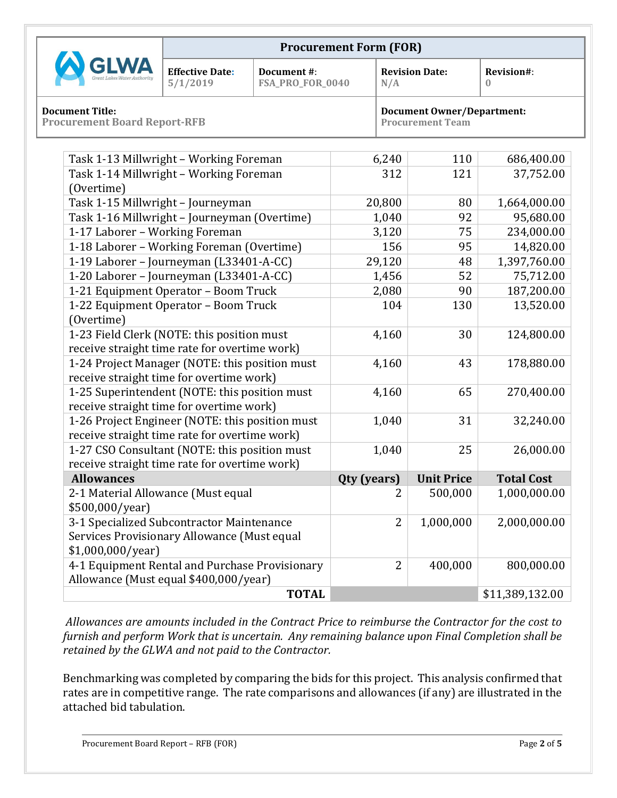|                                                               |                                    | <b>Procurement Form (FOR)</b>   |                                                              |            |
|---------------------------------------------------------------|------------------------------------|---------------------------------|--------------------------------------------------------------|------------|
| <b>W GLWA</b><br>Great Lakes Water Authority                  | <b>Effective Date:</b><br>5/1/2019 | Document #:<br>FSA_PRO_FOR_0040 | <b>Revision Date:</b><br>N/A                                 | Revision#: |
| <b>Document Title:</b><br><b>Procurement Board Report-RFB</b> |                                    |                                 | <b>Document Owner/Department:</b><br><b>Procurement Team</b> |            |

| Task 1-13 Millwright - Working Foreman          | 6,240          | 110               | 686,400.00        |
|-------------------------------------------------|----------------|-------------------|-------------------|
| Task 1-14 Millwright - Working Foreman          | 312            | 121               | 37,752.00         |
| (Overtime)                                      |                |                   |                   |
| Task 1-15 Millwright - Journeyman               | 20,800         | 80                | 1,664,000.00      |
| Task 1-16 Millwright - Journeyman (Overtime)    | 1,040          | 92                | 95,680.00         |
| 1-17 Laborer - Working Foreman                  | 3,120          | 75                | 234,000.00        |
| 1-18 Laborer - Working Foreman (Overtime)       | 156            | 95                | 14,820.00         |
| 1-19 Laborer - Journeyman (L33401-A-CC)         | 29,120         | 48                | 1,397,760.00      |
| 1-20 Laborer - Journeyman (L33401-A-CC)         | 1,456          | 52                | 75,712.00         |
| 1-21 Equipment Operator - Boom Truck            | 2,080          | 90                | 187,200.00        |
| 1-22 Equipment Operator - Boom Truck            | 104            | 130               | 13,520.00         |
| (Overtime)                                      |                |                   |                   |
| 1-23 Field Clerk (NOTE: this position must      | 4,160          | 30                | 124,800.00        |
| receive straight time rate for overtime work)   |                |                   |                   |
| 1-24 Project Manager (NOTE: this position must  | 4,160          | 43                | 178,880.00        |
| receive straight time for overtime work)        |                |                   |                   |
| 1-25 Superintendent (NOTE: this position must   | 4,160          | 65                | 270,400.00        |
| receive straight time for overtime work)        |                |                   |                   |
| 1-26 Project Engineer (NOTE: this position must | 1,040          | 31                | 32,240.00         |
| receive straight time rate for overtime work)   |                |                   |                   |
| 1-27 CSO Consultant (NOTE: this position must   | 1,040          | 25                | 26,000.00         |
| receive straight time rate for overtime work)   |                |                   |                   |
| <b>Allowances</b>                               | Qty (years)    | <b>Unit Price</b> | <b>Total Cost</b> |
| 2-1 Material Allowance (Must equal              | 2              | 500,000           | 1,000,000.00      |
| \$500,000/year)                                 |                |                   |                   |
| 3-1 Specialized Subcontractor Maintenance       | $\overline{2}$ | 1,000,000         | 2,000,000.00      |
| Services Provisionary Allowance (Must equal     |                |                   |                   |
| \$1,000,000/year]                               |                |                   |                   |
| 4-1 Equipment Rental and Purchase Provisionary  | $\overline{2}$ | 400,000           | 800,000.00        |
| Allowance (Must equal \$400,000/year)           |                |                   |                   |
| <b>TOTAL</b>                                    |                |                   | \$11,389,132.00   |

*Allowances are amounts included in the Contract Price to reimburse the Contractor for the cost to furnish and perform Work that is uncertain. Any remaining balance upon Final Completion shall be retained by the GLWA and not paid to the Contractor.*

Benchmarking was completed by comparing the bids for this project. This analysis confirmed that rates are in competitive range. The rate comparisons and allowances (if any) are illustrated in the attached bid tabulation.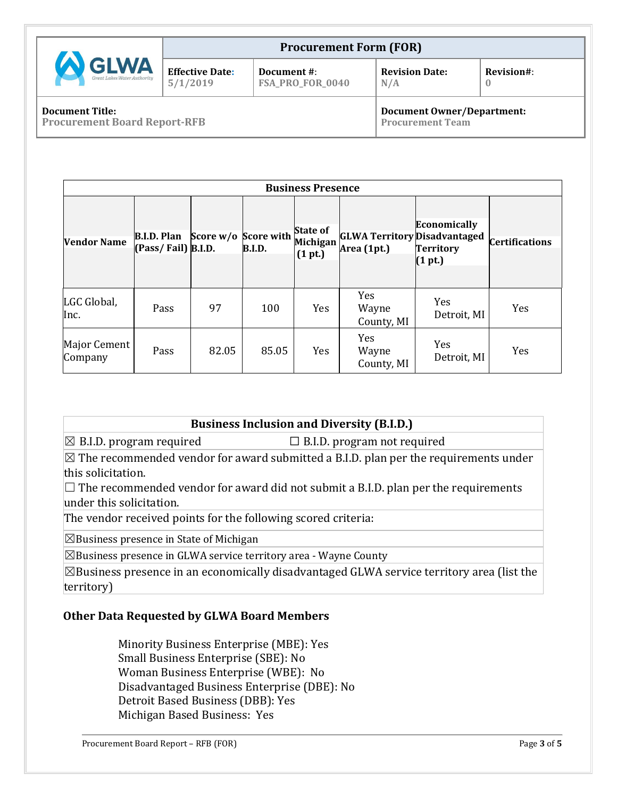|                                                               |                                    | <b>Procurement Form (FOR)</b>   |                                                              |            |
|---------------------------------------------------------------|------------------------------------|---------------------------------|--------------------------------------------------------------|------------|
| <b>SLWA</b><br>Great Lakes Water Authority                    | <b>Effective Date:</b><br>5/1/2019 | Document #:<br>FSA_PRO_FOR_0040 | <b>Revision Date:</b><br>N/A                                 | Revision#: |
| <b>Document Title:</b><br><b>Procurement Board Report-RFB</b> |                                    |                                 | <b>Document Owner/Department:</b><br><b>Procurement Team</b> |            |

|                         | <b>Business Presence</b>                 |                      |               |                                        |                                                    |                                                    |                       |
|-------------------------|------------------------------------------|----------------------|---------------|----------------------------------------|----------------------------------------------------|----------------------------------------------------|-----------------------|
| <b>Vendor Name</b>      | <b>B.I.D. Plan</b><br>(Pass/Fail) B.I.D. | Score w/o Score with | <b>B.I.D.</b> | <b>State of</b><br>Michigan<br>(1 pt.) | <b>GLWA Territory Disadvantaged</b><br>Area (1pt.) | <b>Economically</b><br><b>Territory</b><br>(1 pt.) | <b>Certifications</b> |
| LGC Global,<br>Inc.     | Pass                                     | 97                   | 100           | <b>Yes</b>                             | Yes<br>Wayne<br>County, MI                         | Yes<br>Detroit, MI                                 | Yes                   |
| Major Cement<br>Company | Pass                                     | 82.05                | 85.05         | Yes                                    | Yes<br>Wayne<br>County, MI                         | Yes<br>Detroit, MI                                 | Yes                   |

#### **Business Inclusion and Diversity (B.I.D.)**

 $\boxtimes$  B.I.D. program required  $\Box$  B.I.D. program not required

 $\boxtimes$  The recommended vendor for award submitted a B.I.D. plan per the requirements under this solicitation.

 $\Box$  The recommended vendor for award did not submit a B.I.D. plan per the requirements under this solicitation.

The vendor received points for the following scored criteria:

 $\boxtimes$ Business presence in State of Michigan

 $\boxtimes$ Business presence in GLWA service territory area - Wayne County

 $\boxtimes$ Business presence in an economically disadvantaged GLWA service territory area (list the territory)

#### **Other Data Requested by GLWA Board Members**

Minority Business Enterprise (MBE): Yes Small Business Enterprise (SBE): No Woman Business Enterprise (WBE): No Disadvantaged Business Enterprise (DBE): No Detroit Based Business (DBB): Yes Michigan Based Business: Yes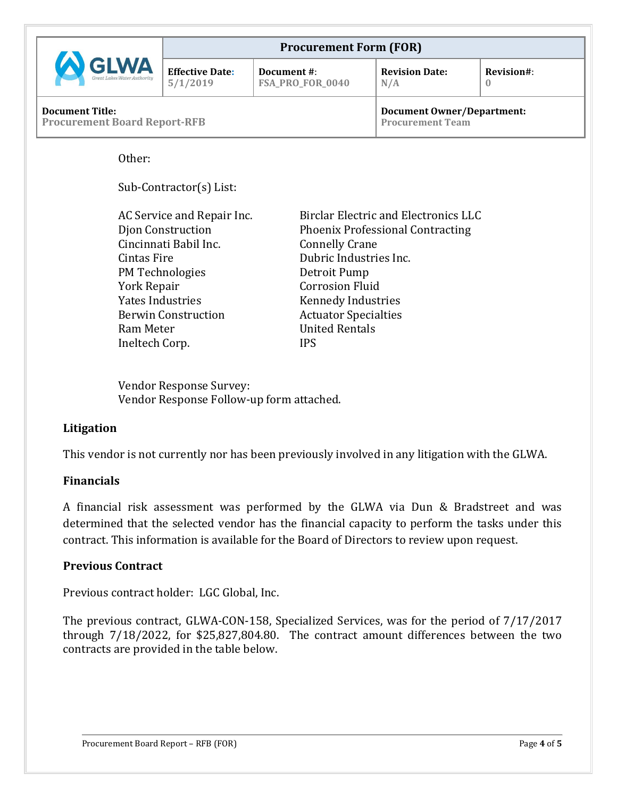|                                                               | <b>Procurement Form (FOR)</b>      |                                 |                                                              |            |  |
|---------------------------------------------------------------|------------------------------------|---------------------------------|--------------------------------------------------------------|------------|--|
| <b>GLWA</b>                                                   | <b>Effective Date:</b><br>5/1/2019 | Document #:<br>FSA_PRO_FOR_0040 | <b>Revision Date:</b><br>N/A                                 | Revision#: |  |
| <b>Document Title:</b><br><b>Procurement Board Report-RFB</b> |                                    |                                 | <b>Document Owner/Department:</b><br><b>Procurement Team</b> |            |  |

Other:

Sub-Contractor(s) List:

| AC Service and Repair Inc. | <b>Birclar Electric and Electronics LLC</b> |
|----------------------------|---------------------------------------------|
| Djon Construction          | <b>Phoenix Professional Contracting</b>     |
| Cincinnati Babil Inc.      | <b>Connelly Crane</b>                       |
| Cintas Fire                | Dubric Industries Inc.                      |
| PM Technologies            | Detroit Pump                                |
| York Repair                | <b>Corrosion Fluid</b>                      |
| Yates Industries           | <b>Kennedy Industries</b>                   |
| <b>Berwin Construction</b> | <b>Actuator Specialties</b>                 |
| Ram Meter                  | <b>United Rentals</b>                       |
| Ineltech Corp.             | <b>IPS</b>                                  |

Vendor Response Survey: Vendor Response Follow-up form attached.

#### **Litigation**

This vendor is not currently nor has been previously involved in any litigation with the GLWA.

#### **Financials**

A financial risk assessment was performed by the GLWA via Dun & Bradstreet and was determined that the selected vendor has the financial capacity to perform the tasks under this contract. This information is available for the Board of Directors to review upon request.

#### **Previous Contract**

Previous contract holder: LGC Global, Inc.

The previous contract, GLWA-CON-158, Specialized Services, was for the period of 7/17/2017 through 7/18/2022, for \$25,827,804.80. The contract amount differences between the two contracts are provided in the table below.